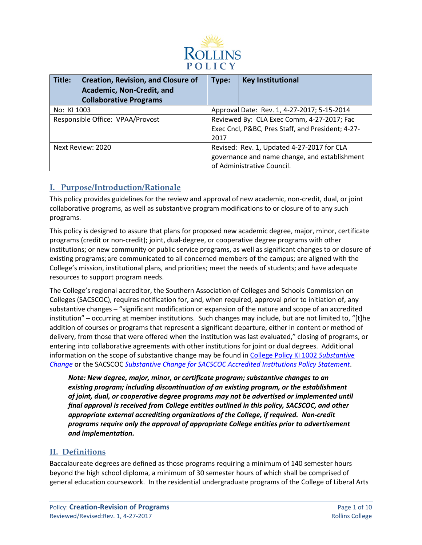

| Title:                           | <b>Creation, Revision, and Closure of</b><br>Academic, Non-Credit, and<br><b>Collaborative Programs</b> | Type:                                             | <b>Key Institutional</b>   |
|----------------------------------|---------------------------------------------------------------------------------------------------------|---------------------------------------------------|----------------------------|
| No: KI 1003                      |                                                                                                         | Approval Date: Rev. 1, 4-27-2017; 5-15-2014       |                            |
| Responsible Office: VPAA/Provost |                                                                                                         | Reviewed By: CLA Exec Comm, 4-27-2017; Fac        |                            |
|                                  |                                                                                                         | Exec Cncl, P&BC, Pres Staff, and President; 4-27- |                            |
|                                  |                                                                                                         | 2017                                              |                            |
| Next Review: 2020                |                                                                                                         | Revised: Rev. 1, Updated 4-27-2017 for CLA        |                            |
|                                  |                                                                                                         | governance and name change, and establishment     |                            |
|                                  |                                                                                                         |                                                   | of Administrative Council. |

# **I. Purpose/Introduction/Rationale**

This policy provides guidelines for the review and approval of new academic, non-credit, dual, or joint collaborative programs, as well as substantive program modifications to or closure of to any such programs.

This policy is designed to assure that plans for proposed new academic degree, major, minor, certificate programs (credit or non-credit); joint, dual-degree, or cooperative degree programs with other institutions; or new community or public service programs, as well as significant changes to or closure of existing programs; are communicated to all concerned members of the campus; are aligned with the College's mission, institutional plans, and priorities; meet the needs of students; and have adequate resources to support program needs.

The College's regional accreditor, the Southern Association of Colleges and Schools Commission on Colleges (SACSCOC), requires notification for, and, when required, approval prior to initiation of, any substantive changes – "significant modification or expansion of the nature and scope of an accredited institution" – occurring at member institutions. Such changes may include, but are not limited to, "[t]he addition of courses or programs that represent a significant departure, either in content or method of delivery, from those that were offered when the institution was last evaluated," closing of programs, or entering into collaborative agreements with other institutions for joint or dual degrees. Additional information on the scope of substantive change may be found in [College Policy KI 1002](https://rpublic.rollins.edu/sites/IR/Shared%20Documents/KI%201002%20Substantive%20Change%20Policy.pdf) *Substantive [Change](https://rpublic.rollins.edu/sites/IR/Shared%20Documents/KI%201002%20Substantive%20Change%20Policy.pdf)* or the SACSCOC *[Substantive Change for SACSCOC Accredited Institutions Policy Statement](http://www.sacscoc.org/pdf/081705/SubstantiveChange.pdf)*.

*Note: New degree, major, minor, or certificate program; substantive changes to an existing program; including discontinuation of an existing program, or the establishment of joint, dual, or cooperative degree programs may not be advertised or implemented until final approval is received from College entities outlined in this policy, SACSCOC, and other appropriate external accrediting organizations of the College, if required. Non-credit programs require only the approval of appropriate College entities prior to advertisement and implementation.*

# **II. Definitions**

Baccalaureate degrees are defined as those programs requiring a minimum of 140 semester hours beyond the high school diploma, a minimum of 30 semester hours of which shall be comprised of general education coursework. In the residential undergraduate programs of the College of Liberal Arts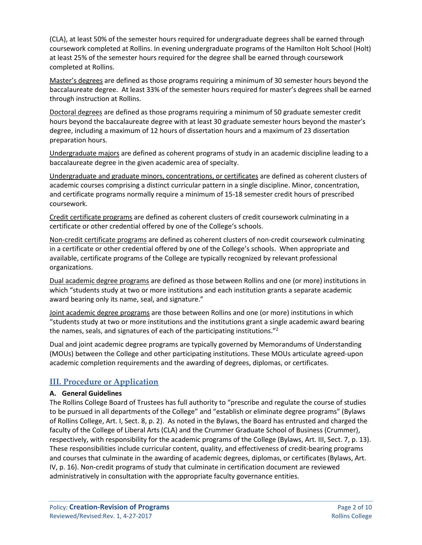(CLA), at least 50% of the semester hours required for undergraduate degrees shall be earned through coursework completed at Rollins. In evening undergraduate programs of the Hamilton Holt School (Holt) at least 25% of the semester hours required for the degree shall be earned through coursework completed at Rollins.

Master's degrees are defined as those programs requiring a minimum of 30 semester hours beyond the baccalaureate degree. At least 33% of the semester hours required for master's degrees shall be earned through instruction at Rollins.

Doctoral degrees are defined as those programs requiring a minimum of 50 graduate semester credit hours beyond the baccalaureate degree with at least 30 graduate semester hours beyond the master's degree, including a maximum of 12 hours of dissertation hours and a maximum of 23 dissertation preparation hours.

Undergraduate majors are defined as coherent programs of study in an academic discipline leading to a baccalaureate degree in the given academic area of specialty.

Undergraduate and graduate minors, concentrations, or certificates are defined as coherent clusters of academic courses comprising a distinct curricular pattern in a single discipline. Minor, concentration, and certificate programs normally require a minimum of 15-18 semester credit hours of prescribed coursework.

Credit certificate programs are defined as coherent clusters of credit coursework culminating in a certificate or other credential offered by one of the College's schools.

Non-credit certificate programs are defined as coherent clusters of non-credit coursework culminating in a certificate or other credential offered by one of the College's schools. When appropriate and available, certificate programs of the College are typically recognized by relevant professional organizations.

Dual academic degree programs are defined as those between Rollins and one (or more) institutions in which "students study at two or more institutions and each institution grants a separate academic award bearing only its name, seal, and signature."

Joint academic degree programs are those between Rollins and one (or more) institutions in which "students study at two or more institutions and the institutions grant a single academic award bearing the names, seals, and signatures of each of the participating institutions."2

Dual and joint academic degree programs are typically governed by Memorandums of Understanding (MOUs) between the College and other participating institutions. These MOUs articulate agreed-upon academic completion requirements and the awarding of degrees, diplomas, or certificates.

# **III. Procedure or Application**

#### **A. General Guidelines**

The Rollins College Board of Trustees has full authority to "prescribe and regulate the course of studies to be pursued in all departments of the College" and "establish or eliminate degree programs" (Bylaws of Rollins College, Art. I, Sect. 8, p. 2). As noted in the Bylaws, the Board has entrusted and charged the faculty of the College of Liberal Arts (CLA) and the Crummer Graduate School of Business (Crummer), respectively, with responsibility for the academic programs of the College (Bylaws, Art. III, Sect. 7, p. 13). These responsibilities include curricular content, quality, and effectiveness of credit-bearing programs and courses that culminate in the awarding of academic degrees, diplomas, or certificates (Bylaws, Art. IV, p. 16). Non-credit programs of study that culminate in certification document are reviewed administratively in consultation with the appropriate faculty governance entities.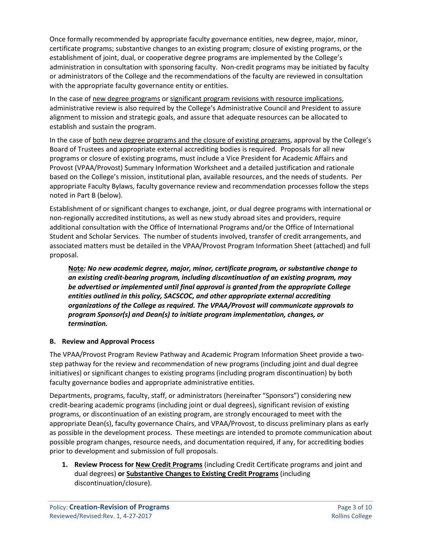Once formally recommended by appropriate faculty governance entities, new degree, major, minor, certificate programs; substantive changes to an existing program; closure of existing programs, or the establishment of joint, dual, or cooperative degree programs are implemented by the College's administration in consultation with sponsoring faculty. Non-credit programs may be initiated by faculty or administrators of the College and the recommendations of the faculty are reviewed in consultation with the appropriate faculty governance entity or entities.

In the case of new degree programs or significant program revisions with resource implications, administrative review is also required by the College's Administrative Council and President to assure alignment to mission and strategic goals, and assure that adequate resources can be allocated to establish and sustain the program.

In the case of both new degree programs and the closure of existing programs, approval by the College's Board of Trustees and appropriate external accrediting bodies is required. Proposals for all new programs or closure of existing programs, must include a Vice President for Academic Affairs and Provost (VPAA/Provost) Summary Information Worksheet and a detailed justification and rationale based on the College's mission, institutional plan, available resources, and the needs of students. Per appropriate Faculty Bylaws, faculty governance review and recommendation processes follow the steps noted in Part B (below).

Establishment of or significant changes to exchange, joint, or dual degree programs with international or non-regionally accredited institutions, as well as new study abroad sites and providers, require additional consultation with the Office of International Programs and/or the Office of International Student and Scholar Services. The number of students involved, transfer of credit arrangements, and associated matters must be detailed in the VPAA/Provost Program Information Sheet (attached) and full proposal.

**Note***: No new academic degree, major, minor, certificate program, or substantive change to an existing credit-bearing program, including discontinuation of an existing program, may be advertised or implemented until final approval is granted from the appropriate College entities outlined in this policy, SACSCOC, and other appropriate external accrediting organizations of the College as required. The VPAA/Provost will communicate approvals to program Sponsor(s) and Dean(s) to initiate program implementation, changes, or termination.*

#### **B. Review and Approval Process**

The VPAA/Provost Program Review Pathway and Academic Program Information Sheet provide a twostep pathway for the review and recommendation of new programs (including joint and dual degree initiatives) or significant changes to existing programs (including program discontinuation) by both faculty governance bodies and appropriate administrative entities.

Departments, programs, faculty, staff, or administrators (hereinafter "Sponsors") considering new credit-bearing academic programs (including joint or dual degrees), significant revision of existing programs, or discontinuation of an existing program, are strongly encouraged to meet with the appropriate Dean(s), faculty governance Chairs, and VPAA/Provost, to discuss preliminary plans as early as possible in the development process. These meetings are intended to promote communication about possible program changes, resource needs, and documentation required, if any, for accrediting bodies prior to development and submission of full proposals.

**1. Review Process for New Credit Programs** (including Credit Certificate programs and joint and dual degrees) **or Substantive Changes to Existing Credit Programs** (including discontinuation/closure).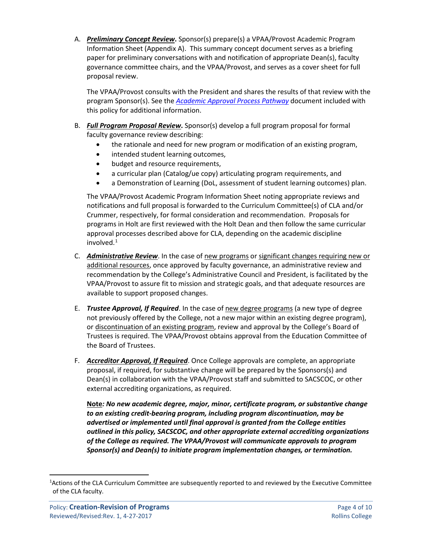A. *Preliminary Concept Review***.** Sponsor(s) prepare(s) a VPAA/Provost Academic Program Information Sheet (Appendix A). This summary concept document serves as a briefing paper for preliminary conversations with and notification of appropriate Dean(s), faculty governance committee chairs, and the VPAA/Provost, and serves as a cover sheet for full proposal review.

The VPAA/Provost consults with the President and shares the results of that review with the program Sponsor(s). See the *[Academic Approval Process Pathway](#page-5-0)* document included with this policy for additional information.

- B. *Full Program Proposal Review***.** Sponsor(s) develop a full program proposal for formal faculty governance review describing:
	- the rationale and need for new program or modification of an existing program,
	- intended student learning outcomes,
	- budget and resource requirements,
	- a curricular plan (Catalog/ue copy) articulating program requirements, and
	- a Demonstration of Learning (DoL, assessment of student learning outcomes) plan.

The VPAA/Provost Academic Program Information Sheet noting appropriate reviews and notifications and full proposal is forwarded to the Curriculum Committee(s) of CLA and/or Crummer, respectively, for formal consideration and recommendation. Proposals for programs in Holt are first reviewed with the Holt Dean and then follow the same curricular approval processes described above for CLA, depending on the academic discipline involved.<sup>[1](#page-3-0)</sup>

- C. *Administrative Review*. In the case of new programs or significant changes requiring new or additional resources, once approved by faculty governance, an administrative review and recommendation by the College's Administrative Council and President, is facilitated by the VPAA/Provost to assure fit to mission and strategic goals, and that adequate resources are available to support proposed changes.
- E. *Trustee Approval, If Required*. In the case of new degree programs (a new type of degree not previously offered by the College, not a new major within an existing degree program), or discontinuation of an existing program, review and approval by the College's Board of Trustees is required. The VPAA/Provost obtains approval from the Education Committee of the Board of Trustees.
- F. *Accreditor Approval, If Required*. Once College approvals are complete, an appropriate proposal, if required, for substantive change will be prepared by the Sponsors(s) and Dean(s) in collaboration with the VPAA/Provost staff and submitted to SACSCOC, or other external accrediting organizations, as required.

**Note***: No new academic degree, major, minor, certificate program, or substantive change to an existing credit-bearing program, including program discontinuation, may be advertised or implemented until final approval is granted from the College entities outlined in this policy, SACSCOC, and other appropriate external accrediting organizations of the College as required. The VPAA/Provost will communicate approvals to program Sponsor(s) and Dean(s) to initiate program implementation changes, or termination.*

<span id="page-3-0"></span> $\overline{1}$ Actions of the CLA Curriculum Committee are subsequently reported to and reviewed by the Executive Committee of the CLA faculty.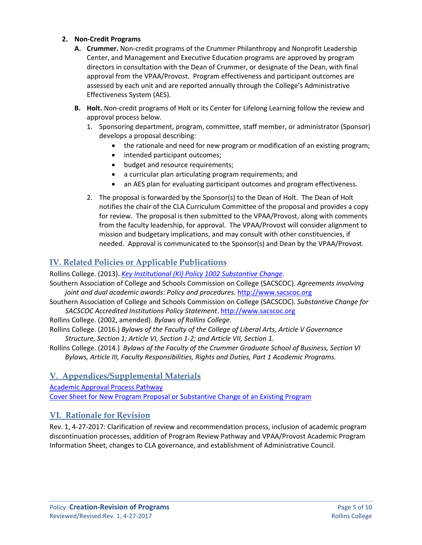#### **2. Non-Credit Programs**

- **A. Crummer.** Non-credit programs of the Crummer Philanthropy and Nonprofit Leadership Center, and Management and Executive Education programs are approved by program directors in consultation with the Dean of Crummer, or designate of the Dean, with final approval from the VPAA/Provost. Program effectiveness and participant outcomes are assessed by each unit and are reported annually through the College's Administrative Effectiveness System (AES).
- **B. Holt.** Non-credit programs of Holt or its Center for Lifelong Learning follow the review and approval process below.
	- 1. Sponsoring department, program, committee, staff member, or administrator (Sponsor) develops a proposal describing:
		- the rationale and need for new program or modification of an existing program;
		- intended participant outcomes;
		- budget and resource requirements;
		- a curricular plan articulating program requirements; and
		- an AES plan for evaluating participant outcomes and program effectiveness.
	- 2. The proposal is forwarded by the Sponsor(s) to the Dean of Holt. The Dean of Holt notifies the chair of the CLA Curriculum Committee of the proposal and provides a copy for review. The proposal is then submitted to the VPAA/Provost, along with comments from the faculty leadership, for approval. The VPAA/Provost will consider alignment to mission and budgetary implications, and may consult with other constituencies, if needed. Approval is communicated to the Sponsor(s) and Dean by the VPAA/Provost.

# **IV. Related Policies or Applicable Publications**

Rollins College. (2013). *[Key Institutional \(KI\) Policy 1002](https://rpublic.rollins.edu/sites/IR/Shared%20Documents/KI%201002%20Substantive%20Change%20Policy.pdf) Substantive Change*.

Southern Association of College and Schools Commission on College (SACSCOC). *Agreements involving joint and dual academic awards: Policy and procedures*[. http://www.sacscoc.org](http://www.sacscoc.org/)

Southern Association of College and Schools Commission on College (SACSCOC). *[Substantive Change for](http://www.sacscoc.org/pdf/081705/SubstantiveChange.pdf)  [SACSCOC Accredited Institutions Policy Statement](http://www.sacscoc.org/pdf/081705/SubstantiveChange.pdf)*[. http://www.sacscoc.org](http://www.sacscoc.org/)

Rollins College. (2002, amended). *Bylaws of Rollins College*.

Rollins College. (2016.) *Bylaws of the Faculty of the College of Liberal Arts, Article V Governance Structure, Section 1; Article VI, Section 1-2; and Article VII, Section 1*.

Rollins College. (2014.) *Bylaws of the Faculty of the Crummer Graduate School of Business, Section VI Bylaws, Article III, Faculty Responsibilities, Rights and Duties, Part 1 Academic Programs.*

# **V. Appendices/Supplemental Materials**

[Academic Approval Process Pathway](#page-5-0) [Cover Sheet for New Program Proposal or Substantive Change of an Existing Program](#page-8-0)

# **VI. Rationale for Revision**

Rev. 1, 4-27-2017: Clarification of review and recommendation process, inclusion of academic program discontinuation processes, addition of Program Review Pathway and VPAA/Provost Academic Program Information Sheet, changes to CLA governance, and establishment of Administrative Council.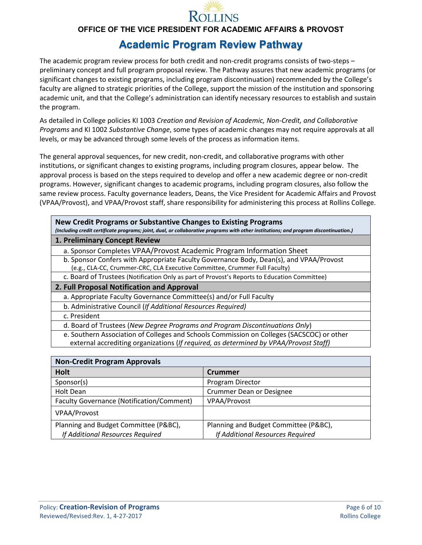

**OFFICE OF THE VICE PRESIDENT FOR ACADEMIC AFFAIRS & PROVOST**

# **Academic Program Review Pathway**

<span id="page-5-0"></span>The academic program review process for both credit and non-credit programs consists of two-steps – preliminary concept and full program proposal review. The Pathway assures that new academic programs (or significant changes to existing programs, including program discontinuation) recommended by the College's faculty are aligned to strategic priorities of the College, support the mission of the institution and sponsoring academic unit, and that the College's administration can identify necessary resources to establish and sustain the program.

As detailed in College policies KI 1003 *Creation and Revision of Academic, Non-Credit, and Collaborative Programs* and KI 1002 *Substantive Change*, some types of academic changes may not require approvals at all levels, or may be advanced through some levels of the process as information items.

The general approval sequences, for new credit, non-credit, and collaborative programs with other institutions, or significant changes to existing programs, including program closures, appear below. The approval process is based on the steps required to develop and offer a new academic degree or non-credit programs. However, significant changes to academic programs, including program closures, also follow the same review process. Faculty governance leaders, Deans, the Vice President for Academic Affairs and Provost (VPAA/Provost), and VPAA/Provost staff, share responsibility for administering this process at Rollins College.

**New Credit Programs or Substantive Changes to Existing Programs**

*(Including credit certificate programs; joint, dual, or collaborative programs with other institutions; and program discontinuation.)*

- **1. Preliminary Concept Review**
- a. Sponsor Completes VPAA/Provost Academic Program Information Sheet
	- b. Sponsor Confers with Appropriate Faculty Governance Body, Dean(s), and VPAA/Provost (e.g., CLA-CC, Crummer-CRC, CLA Executive Committee, Crummer Full Faculty)
- c. Board of Trustees (Notification Only as part of Provost's Reports to Education Committee)
- **2. Full Proposal Notification and Approval**
	- a. Appropriate Faculty Governance Committee(s) and/or Full Faculty
	- b. Administrative Council (*If Additional Resources Required)*
- c. President

d. Board of Trustees (*New Degree Programs and Program Discontinuations Only*)

- e. Southern Association of Colleges and Schools Commission on Colleges (SACSCOC) or other
- external accrediting organizations (*If required, as determined by VPAA/Provost Staff)*

| <b>Non-Credit Program Approvals</b>              |                                       |  |  |  |
|--------------------------------------------------|---------------------------------------|--|--|--|
| <b>Holt</b>                                      | <b>Crummer</b>                        |  |  |  |
| Sponsor(s)                                       | Program Director                      |  |  |  |
| Holt Dean                                        | <b>Crummer Dean or Designee</b>       |  |  |  |
| <b>Faculty Governance (Notification/Comment)</b> | VPAA/Provost                          |  |  |  |
| VPAA/Provost                                     |                                       |  |  |  |
| Planning and Budget Committee (P&BC),            | Planning and Budget Committee (P&BC), |  |  |  |
| If Additional Resources Required                 | If Additional Resources Required      |  |  |  |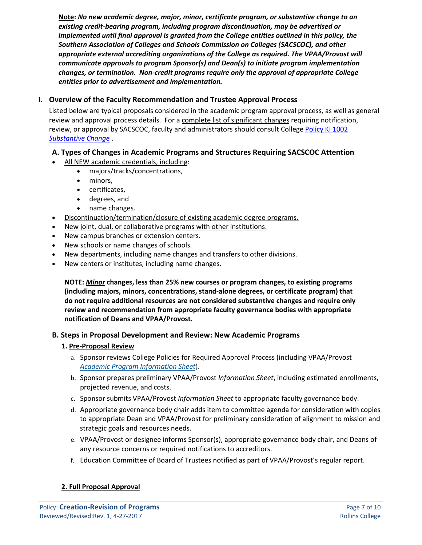**Note:** *No new academic degree, major, minor, certificate program, or substantive change to an existing credit-bearing program, including program discontinuation, may be advertised or implemented until final approval is granted from the College entities outlined in this policy, the Southern Association of Colleges and Schools Commission on Colleges (SACSCOC), and other appropriate external accrediting organizations of the College as required. The VPAA/Provost will communicate approvals to program Sponsor(s) and Dean(s) to initiate program implementation changes, or termination. Non-credit programs require only the approval of appropriate College entities prior to advertisement and implementation.*

## **I. Overview of the Faculty Recommendation and Trustee Approval Process**

Listed below are typical proposals considered in the academic program approval process, as well as general review and approval process details. For a complete list of significant changes requiring notification, review, or approval by SACSCOC, faculty and administrators should consult College [Policy KI 1002](https://rpublic.rollins.edu/sites/IR/Shared%20Documents/KI%201002%20Substantive%20Change%20Policy.pdf)  *[Substantive Change](https://rpublic.rollins.edu/sites/IR/Shared%20Documents/KI%201002%20Substantive%20Change%20Policy.pdf)* .

## **A. Types of Changes in Academic Programs and Structures Requiring SACSCOC Attention**

- All NEW academic credentials, including:
	- majors/tracks/concentrations,
		- minors,
		- certificates,
		- degrees, and
		- name changes.
- Discontinuation/termination/closure of existing academic degree programs.
- New joint, dual, or collaborative programs with other institutions.
- New campus branches or extension centers.
- New schools or name changes of schools.
- New departments, including name changes and transfers to other divisions.
- New centers or institutes, including name changes.

**NOTE:** *Minor* **changes, less than 25% new courses or program changes, to existing programs (including majors, minors, concentrations, stand-alone degrees, or certificate program) that do not require additional resources are not considered substantive changes and require only review and recommendation from appropriate faculty governance bodies with appropriate notification of Deans and VPAA/Provost.**

## **B. Steps in Proposal Development and Review: New Academic Programs**

#### **1. Pre-Proposal Review**

- a. Sponsor reviews College Policies for Required Approval Process (including VPAA/Provost *Academic Program Information Sheet*).
- b. Sponsor prepares preliminary VPAA/Provost *Information Sheet*, including estimated enrollments, projected revenue, and costs.
- c. Sponsor submits VPAA/Provost *Information Sheet* to appropriate faculty governance body.
- d. Appropriate governance body chair adds item to committee agenda for consideration with copies to appropriate Dean and VPAA/Provost for preliminary consideration of alignment to mission and strategic goals and resources needs.
- e. VPAA/Provost or designee informs Sponsor(s), appropriate governance body chair, and Deans of any resource concerns or required notifications to accreditors.
- f. Education Committee of Board of Trustees notified as part of VPAA/Provost's regular report.

## **2. Full Proposal Approval**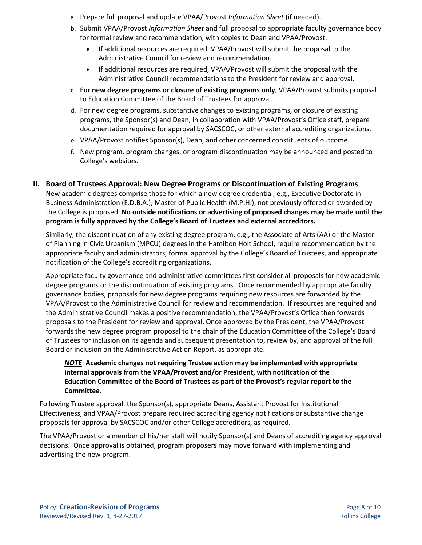- a. Prepare full proposal and update VPAA/Provost *Information Sheet* (if needed).
- b. Submit VPAA/Provost *Information Sheet* and full proposal to appropriate faculty governance body for formal review and recommendation, with copies to Dean and VPAA/Provost.
	- If additional resources are required, VPAA/Provost will submit the proposal to the Administrative Council for review and recommendation.
	- If additional resources are required, VPAA/Provost will submit the proposal with the Administrative Council recommendations to the President for review and approval.
- c. **For new degree programs or closure of existing programs only**, VPAA/Provost submits proposal to Education Committee of the Board of Trustees for approval.
- d. For new degree programs, substantive changes to existing programs, or closure of existing programs, the Sponsor(s) and Dean, in collaboration with VPAA/Provost's Office staff, prepare documentation required for approval by SACSCOC, or other external accrediting organizations.
- e. VPAA/Provost notifies Sponsor(s), Dean, and other concerned constituents of outcome.
- f. New program, program changes, or program discontinuation may be announced and posted to College's websites.

## **II. Board of Trustees Approval: New Degree Programs or Discontinuation of Existing Programs**

New academic degrees comprise those for which a new degree credential, e.g., Executive Doctorate in Business Administration (E.D.B.A.), Master of Public Health (M.P.H.), not previously offered or awarded by the College is proposed. **No outside notifications or advertising of proposed changes may be made until the program is fully approved by the College's Board of Trustees and external accreditors.**

Similarly, the discontinuation of any existing degree program, e.g., the Associate of Arts (AA) or the Master of Planning in Civic Urbanism (MPCU) degrees in the Hamilton Holt School, require recommendation by the appropriate faculty and administrators, formal approval by the College's Board of Trustees, and appropriate notification of the College's accrediting organizations.

Appropriate faculty governance and administrative committees first consider all proposals for new academic degree programs or the discontinuation of existing programs. Once recommended by appropriate faculty governance bodies, proposals for new degree programs requiring new resources are forwarded by the VPAA/Provost to the Administrative Council for review and recommendation. If resources are required and the Administrative Council makes a positive recommendation, the VPAA/Provost's Office then forwards proposals to the President for review and approval. Once approved by the President, the VPAA/Provost forwards the new degree program proposal to the chair of the Education Committee of the College's Board of Trustees for inclusion on its agenda and subsequent presentation to, review by, and approval of the full Board or inclusion on the Administrative Action Report, as appropriate.

### *NOTE*: **Academic changes not requiring Trustee action may be implemented with appropriate internal approvals from the VPAA/Provost and/or President, with notification of the Education Committee of the Board of Trustees as part of the Provost's regular report to the Committee.**

Following Trustee approval, the Sponsor(s), appropriate Deans, Assistant Provost for Institutional Effectiveness, and VPAA/Provost prepare required accrediting agency notifications or substantive change proposals for approval by SACSCOC and/or other College accreditors, as required.

The VPAA/Provost or a member of his/her staff will notify Sponsor(s) and Deans of accrediting agency approval decisions. Once approval is obtained, program proposers may move forward with implementing and advertising the new program.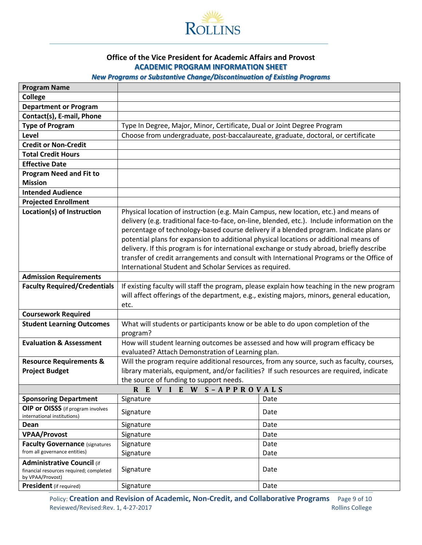

#### **Office of the Vice President for Academic Affairs and Provost ACADEMIC PROGRAM INFORMATION SHEET**

## *New Programs or Substantive Change/Discontinuation of Existing Programs*

<span id="page-8-0"></span>

| <b>Program Name</b>                                              |                                                                                              |      |  |  |
|------------------------------------------------------------------|----------------------------------------------------------------------------------------------|------|--|--|
| <b>College</b>                                                   |                                                                                              |      |  |  |
| <b>Department or Program</b>                                     |                                                                                              |      |  |  |
| Contact(s), E-mail, Phone                                        |                                                                                              |      |  |  |
| <b>Type of Program</b>                                           | Type In Degree, Major, Minor, Certificate, Dual or Joint Degree Program                      |      |  |  |
| Level                                                            | Choose from undergraduate, post-baccalaureate, graduate, doctoral, or certificate            |      |  |  |
| <b>Credit or Non-Credit</b>                                      |                                                                                              |      |  |  |
| <b>Total Credit Hours</b>                                        |                                                                                              |      |  |  |
| <b>Effective Date</b>                                            |                                                                                              |      |  |  |
| <b>Program Need and Fit to</b>                                   |                                                                                              |      |  |  |
| <b>Mission</b>                                                   |                                                                                              |      |  |  |
| <b>Intended Audience</b>                                         |                                                                                              |      |  |  |
| <b>Projected Enrollment</b>                                      |                                                                                              |      |  |  |
| Location(s) of Instruction                                       | Physical location of instruction (e.g. Main Campus, new location, etc.) and means of         |      |  |  |
|                                                                  | delivery (e.g. traditional face-to-face, on-line, blended, etc.). Include information on the |      |  |  |
|                                                                  | percentage of technology-based course delivery if a blended program. Indicate plans or       |      |  |  |
|                                                                  | potential plans for expansion to additional physical locations or additional means of        |      |  |  |
|                                                                  | delivery. If this program is for international exchange or study abroad, briefly describe    |      |  |  |
|                                                                  | transfer of credit arrangements and consult with International Programs or the Office of     |      |  |  |
|                                                                  | International Student and Scholar Services as required.                                      |      |  |  |
| <b>Admission Requirements</b>                                    |                                                                                              |      |  |  |
| <b>Faculty Required/Credentials</b>                              | If existing faculty will staff the program, please explain how teaching in the new program   |      |  |  |
|                                                                  | will affect offerings of the department, e.g., existing majors, minors, general education,   |      |  |  |
|                                                                  | etc.                                                                                         |      |  |  |
| <b>Coursework Required</b>                                       |                                                                                              |      |  |  |
| <b>Student Learning Outcomes</b>                                 | What will students or participants know or be able to do upon completion of the              |      |  |  |
|                                                                  | program?                                                                                     |      |  |  |
| <b>Evaluation &amp; Assessment</b>                               | How will student learning outcomes be assessed and how will program efficacy be              |      |  |  |
|                                                                  | evaluated? Attach Demonstration of Learning plan.                                            |      |  |  |
| <b>Resource Requirements &amp;</b>                               | Will the program require additional resources, from any source, such as faculty, courses,    |      |  |  |
| <b>Project Budget</b>                                            | library materials, equipment, and/or facilities? If such resources are required, indicate    |      |  |  |
| the source of funding to support needs.                          |                                                                                              |      |  |  |
|                                                                  | REVIEW S-APPROVALS                                                                           |      |  |  |
| <b>Sponsoring Department</b>                                     | Signature                                                                                    | Date |  |  |
| OIP or OISSS (if program involves<br>international institutions) | Signature                                                                                    | Date |  |  |
| Dean                                                             | Signature                                                                                    | Date |  |  |
| <b>VPAA/Provost</b>                                              | Signature                                                                                    | Date |  |  |
| <b>Faculty Governance (signatures</b>                            | Signature                                                                                    | Date |  |  |
| from all governance entities)                                    | Signature                                                                                    | Date |  |  |
| <b>Administrative Council (if</b>                                |                                                                                              |      |  |  |
| financial resources required; completed                          | Signature                                                                                    | Date |  |  |
| by VPAA/Provost)                                                 |                                                                                              |      |  |  |
| <b>President</b> (if required)                                   | Signature                                                                                    | Date |  |  |

Policy: **Creation and Revision of Academic, Non-Credit, and Collaborative Programs** Page 9 of 10 Reviewed/Revised:Rev. 1, 4-27-2017